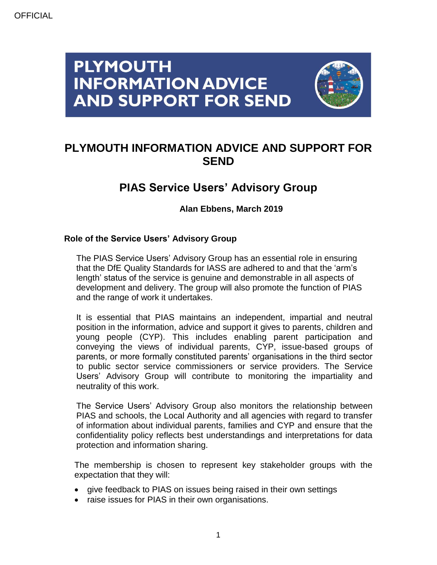# **PLYMOUTH INFORMATION ADVICE AND SUPPORT FOR SEND**



## **PLYMOUTH INFORMATION ADVICE AND SUPPORT FOR SEND**

## **PIAS Service Users' Advisory Group**

**Alan Ebbens, March 2019**

### **Role of the Service Users' Advisory Group**

The PIAS Service Users' Advisory Group has an essential role in ensuring that the DfE Quality Standards for IASS are adhered to and that the 'arm's length' status of the service is genuine and demonstrable in all aspects of development and delivery. The group will also promote the function of PIAS and the range of work it undertakes.

It is essential that PIAS maintains an independent, impartial and neutral position in the information, advice and support it gives to parents, children and young people (CYP). This includes enabling parent participation and conveying the views of individual parents, CYP, issue-based groups of parents, or more formally constituted parents' organisations in the third sector to public sector service commissioners or service providers. The Service Users' Advisory Group will contribute to monitoring the impartiality and neutrality of this work.

The Service Users' Advisory Group also monitors the relationship between PIAS and schools, the Local Authority and all agencies with regard to transfer of information about individual parents, families and CYP and ensure that the confidentiality policy reflects best understandings and interpretations for data protection and information sharing.

The membership is chosen to represent key stakeholder groups with the expectation that they will:

- give feedback to PIAS on issues being raised in their own settings
- raise issues for PIAS in their own organisations.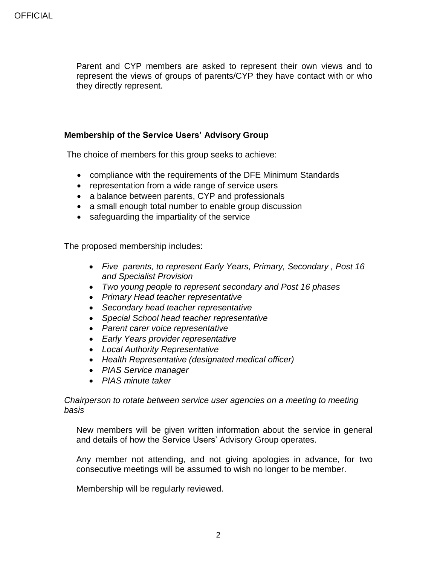Parent and CYP members are asked to represent their own views and to represent the views of groups of parents/CYP they have contact with or who they directly represent.

#### **Membership of the Service Users' Advisory Group**

The choice of members for this group seeks to achieve:

- compliance with the requirements of the DFE Minimum Standards
- representation from a wide range of service users
- a balance between parents, CYP and professionals
- a small enough total number to enable group discussion
- safeguarding the impartiality of the service

The proposed membership includes:

- *Five parents, to represent Early Years, Primary, Secondary , Post 16 and Specialist Provision*
- *Two young people to represent secondary and Post 16 phases*
- *Primary Head teacher representative*
- *Secondary head teacher representative*
- *Special School head teacher representative*
- *Parent carer voice representative*
- *Early Years provider representative*
- *Local Authority Representative*
- *Health Representative (designated medical officer)*
- *PIAS Service manager*
- *PIAS minute taker*

*Chairperson to rotate between service user agencies on a meeting to meeting basis*

New members will be given written information about the service in general and details of how the Service Users' Advisory Group operates.

Any member not attending, and not giving apologies in advance, for two consecutive meetings will be assumed to wish no longer to be member.

Membership will be regularly reviewed.